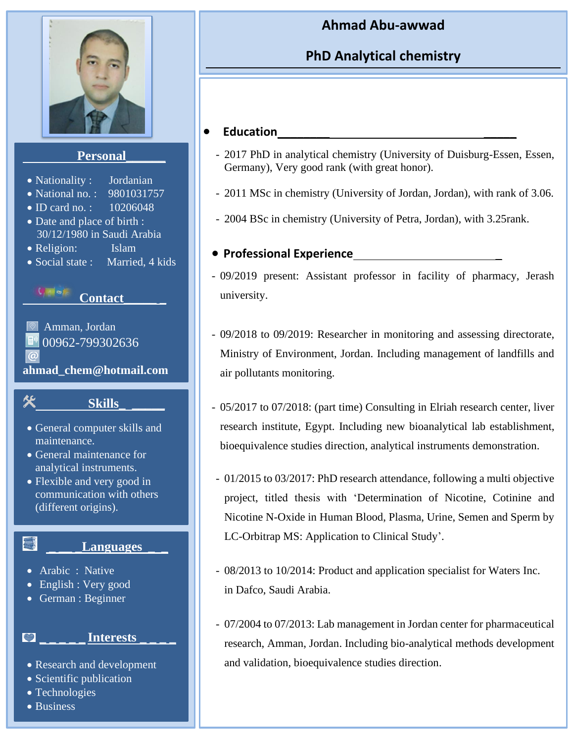

## **Ahmad Abu-awwad**

# **PhD Analytical chemistry**

## • **Education**\_\_\_\_\_\_\_\_ \_\_\_\_\_

- 2017 PhD in analytical chemistry (University of Duisburg-Essen, Essen, Germany), Very good rank (with great honor).
- 2011 MSc in chemistry (University of Jordan, Jordan), with rank of 3.06.
- 2004 BSc in chemistry (University of Petra, Jordan), with 3.25rank.

## • **Professional Experience** \_

- 09/2019 present: Assistant professor in facility of pharmacy, Jerash university.
- 09/2018 to 09/2019: Researcher in monitoring and assessing directorate, Ministry of Environment, Jordan. Including management of landfills and air pollutants monitoring.
- 05/2017 to 07/2018: (part time) Consulting in Elriah research center, liver research institute, Egypt. Including new bioanalytical lab establishment, bioequivalence studies direction, analytical instruments demonstration.
	- 01/2015 to 03/2017: PhD research attendance, following a multi objective project, titled thesis with 'Determination of Nicotine, Cotinine and Nicotine N-Oxide in Human Blood, Plasma, Urine, Semen and Sperm by LC-Orbitrap MS: Application to Clinical Study'.
	- 08/2013 to 10/2014: Product and application specialist for Waters Inc. in Dafco, Saudi Arabia.
- 07/2004 to 07/2013: Lab management in Jordan center for pharmaceutical research, Amman, Jordan. Including bio-analytical methods development and validation, bioequivalence studies direction.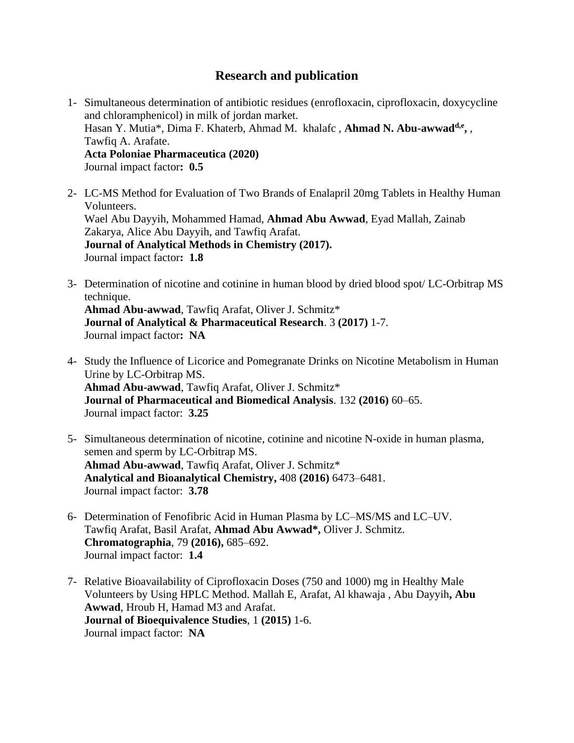### **Research and publication**

- 1- Simultaneous determination of antibiotic residues (enrofloxacin, ciprofloxacin, doxycycline and chloramphenicol) in milk of jordan market. Hasan Y. Mutia\*, Dima F. Khaterb, Ahmad M. khalafc , **Ahmad N. Abu-awwadd,e ,** , Tawfiq A. Arafate. **Acta Poloniae Pharmaceutica (2020)** Journal impact factor**: 0.5**
- 2- LC-MS Method for Evaluation of Two Brands of Enalapril 20mg Tablets in Healthy Human Volunteers. Wael Abu Dayyih, Mohammed Hamad, **Ahmad Abu Awwad**, Eyad Mallah, Zainab Zakarya, Alice Abu Dayyih, and Tawfiq Arafat. **Journal of Analytical Methods in Chemistry (2017).** Journal impact factor**: 1.8**
- 3- Determination of nicotine and cotinine in human blood by dried blood spot/ LC-Orbitrap MS technique.

**Ahmad Abu-awwad**, Tawfiq Arafat, Oliver J. Schmitz\* **Journal of Analytical & Pharmaceutical Research**. 3 **(2017)** 1-7. Journal impact factor**: NA**

- 4- Study the Influence of Licorice and Pomegranate Drinks on Nicotine Metabolism in Human Urine by LC-Orbitrap MS. **Ahmad Abu-awwad**, Tawfiq Arafat, Oliver J. Schmitz\* **Journal of Pharmaceutical and Biomedical Analysis**. 132 **(2016)** 60–65. Journal impact factor: **3.25**
- 5- Simultaneous determination of nicotine, cotinine and nicotine N-oxide in human plasma, semen and sperm by LC-Orbitrap MS. **Ahmad Abu-awwad**, Tawfiq Arafat, Oliver J. Schmitz\* **[Analytical and Bioanalytical Chemistry,](https://www.google.de/url?sa=t&rct=j&q=&esrc=s&source=web&cd=1&cad=rja&uact=8&ved=0ahUKEwjGvY3Q3-7MAhWHPRQKHSUEB7sQFggdMAA&url=http%3A%2F%2Fwww.springer.com%2Fchemistry%2Fanalytical%2Bchemistry%2Fjournal%2F216&usg=AFQjCNFV2OcNvCdNtwA2cf0nHl3VCQRT-A&sig2=SLR6hlzXMTh-A3rUiD-kew)** 408 **(2016)** 6473–6481. Journal impact factor: **3.78**
- 6- Determination of Fenofibric Acid in Human Plasma by LC–MS/MS and LC–UV. Tawfiq Arafat, Basil Arafat, **Ahmad Abu Awwad\*,** Oliver J. Schmitz. **Chromatographia**, 79 **(2016),** 685–692. Journal impact factor: **1.4**
- 7- [Relative Bioavailability of Ciprofloxacin Doses \(750 and 1000\) mg in Healthy Male](https://www.researchgate.net/publication/272998602_Relative_Bioavailability_of_Ciprofloxacin_Doses_750_and_1000_mg_in_Healthy_Male_Volunteers_by_Using_HPLC_Method?ev=prf_pub)  [Volunteers by Using HPLC Method.](https://www.researchgate.net/publication/272998602_Relative_Bioavailability_of_Ciprofloxacin_Doses_750_and_1000_mg_in_Healthy_Male_Volunteers_by_Using_HPLC_Method?ev=prf_pub) Mallah E, Arafat, Al khawaja , Abu Dayyih**, Abu Awwad**, Hroub H, Hamad M3 and Arafat. **Journal of Bioequivalence Studies**, 1 **(2015)** 1-6. Journal impact factor: **NA**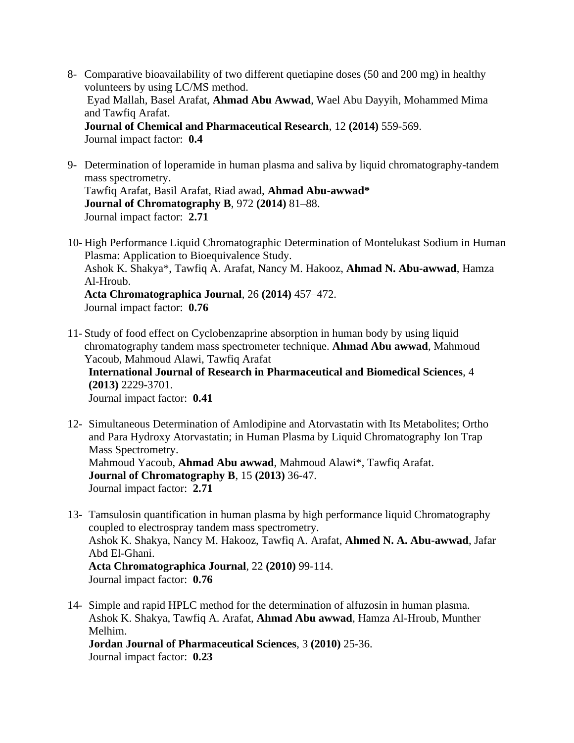- 8- Comparative bioavailability of two different quetiapine doses (50 and 200 mg) in healthy volunteers by using LC/MS method. Eyad Mallah, Basel Arafat, **Ahmad Abu Awwad**, Wael Abu Dayyih, Mohammed Mima and Tawfiq Arafat. **Journal of Chemical and Pharmaceutical Research**, 12 **(2014)** 559-569. Journal impact factor: **0.4**
- 9- Determination of loperamide in human plasma and saliva by liquid chromatography-tandem mass spectrometry. Tawfiq Arafat, Basil Arafat, Riad awad, **Ahmad Abu-awwad\* Journal of Chromatography B**, 972 **(2014)** 81–88. Journal impact factor: **2.71**
- 10- High Performance Liquid Chromatographic Determination of Montelukast Sodium in Human Plasma: Application to Bioequivalence Study. Ashok K. Shakya\*, Tawfiq A. Arafat, Nancy M. Hakooz, **Ahmad N. Abu-awwad**, Hamza Al-Hroub. **Acta Chromatographica Journal**, 26 **(2014)** 457–472. Journal impact factor: **0.76**
- 11- Study of food effect on Cyclobenzaprine absorption in human body by using liquid chromatography tandem mass spectrometer technique. **Ahmad Abu awwad**, Mahmoud Yacoub, Mahmoud Alawi, Tawfiq Arafat **International Journal of Research in Pharmaceutical and Biomedical Sciences**, 4 **(2013)** 2229-3701. Journal impact factor: **0.41**
- 12- Simultaneous Determination of Amlodipine and Atorvastatin with Its Metabolites; Ortho and Para Hydroxy Atorvastatin; in Human Plasma by Liquid Chromatography Ion Trap Mass Spectrometry. Mahmoud Yacoub, **Ahmad Abu awwad**, Mahmoud Alawi\*, Tawfiq Arafat. **Journal of Chromatography B**, 15 **(2013)** 36-47. Journal impact factor: **2.71**
- 13- Tamsulosin quantification in human plasma by high performance liquid Chromatography coupled to electrospray tandem mass spectrometry. Ashok K. Shakya, Nancy M. Hakooz, Tawfiq A. Arafat, **Ahmed N. A. Abu-awwad**, Jafar Abd El-Ghani. **Acta Chromatographica Journal**, 22 **(2010)** 99-114. Journal impact factor: **0.76**
- 14- Simple and rapid HPLC method for the determination of alfuzosin in human plasma. Ashok K. Shakya, Tawfiq A. Arafat, **Ahmad Abu awwad**, Hamza Al-Hroub, Munther Melhim.
	- **Jordan Journal of Pharmaceutical Sciences**, 3 **(2010)** 25-36. Journal impact factor: **0.23**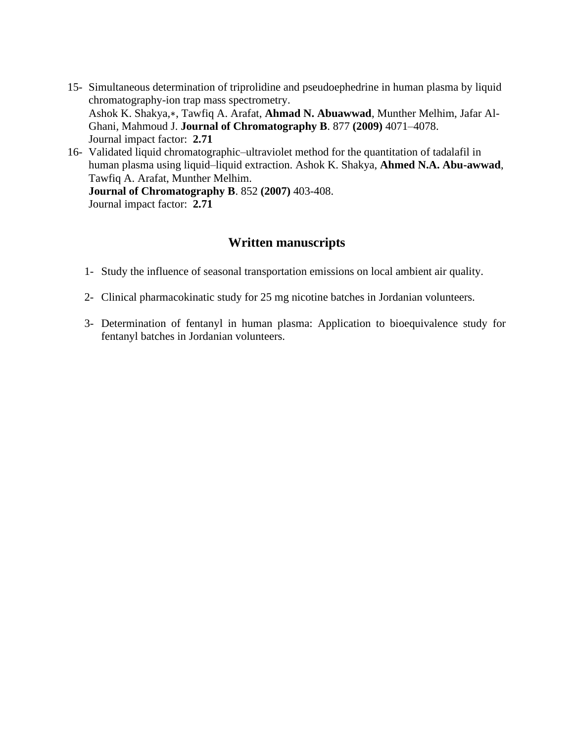- 15- [Simultaneous determination of triprolidine and pseudoephedrine in human plasma by liquid](https://www.researchgate.net/publication/38113895_Simultaneous_determination_of_triprolidine_and_pseudoephedrine_in_human_plasma_by_liquid_chromatography-ion_trap_mass_spectrometry?ev=prf_pub)  [chromatography-ion trap mass spectrometry.](https://www.researchgate.net/publication/38113895_Simultaneous_determination_of_triprolidine_and_pseudoephedrine_in_human_plasma_by_liquid_chromatography-ion_trap_mass_spectrometry?ev=prf_pub) Ashok K. Shakya,∗, Tawfiq A. Arafat, **Ahmad N. Abuawwad**, Munther Melhim, Jafar Al-Ghani, Mahmoud J. **Journal of Chromatography B**. 877 **(2009)** 4071–4078. Journal impact factor: **2.71**
- 16- Validated liquid chromatographic–ultraviolet method for the quantitation of tadalafil in human plasma using liquid–liquid extraction. Ashok K. Shakya, **Ahmed N.A. Abu-awwad**, Tawfiq A. Arafat, Munther Melhim. **Journal of Chromatography B**. 852 **(2007)** 403-408.

Journal impact factor: **2.71**

#### **Written manuscripts**

- 1- Study the influence of seasonal transportation emissions on local ambient air quality.
- 2- Clinical pharmacokinatic study for 25 mg nicotine batches in Jordanian volunteers.
- 3- Determination of fentanyl in human plasma: Application to bioequivalence study for fentanyl batches in Jordanian volunteers.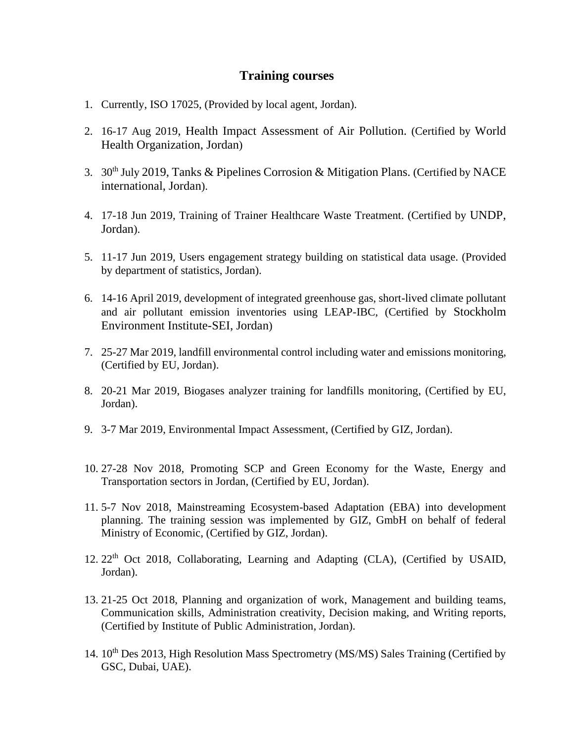#### **Training courses**

- 1. Currently, ISO 17025, (Provided by local agent, Jordan).
- 2. 16-17 Aug 2019, Health Impact Assessment of Air Pollution. (Certified by World Health Organization, Jordan)
- 3. 30<sup>th</sup> July 2019, Tanks & Pipelines Corrosion & Mitigation Plans. (Certified by NACE international, Jordan).
- 4. 17-18 Jun 2019, Training of Trainer Healthcare Waste Treatment. (Certified by UNDP, Jordan).
- 5. 11-17 Jun 2019, Users engagement strategy building on statistical data usage. (Provided by department of statistics, Jordan).
- 6. 14-16 April 2019, development of integrated greenhouse gas, short-lived climate pollutant and air pollutant emission inventories using LEAP-IBC, (Certified by Stockholm Environment Institute-SEI, Jordan)
- 7. 25-27 Mar 2019, landfill environmental control including water and emissions monitoring, (Certified by EU, Jordan).
- 8. 20-21 Mar 2019, Biogases analyzer training for landfills monitoring, (Certified by EU, Jordan).
- 9. 3-7 Mar 2019, Environmental Impact Assessment, (Certified by GIZ, Jordan).
- 10. 27-28 Nov 2018, Promoting SCP and Green Economy for the Waste, Energy and Transportation sectors in Jordan, (Certified by EU, Jordan).
- 11. 5-7 Nov 2018, Mainstreaming Ecosystem-based Adaptation (EBA) into development planning. The training session was implemented by GIZ, GmbH on behalf of federal Ministry of Economic, (Certified by GIZ, Jordan).
- 12. 22<sup>th</sup> Oct 2018, Collaborating, Learning and Adapting (CLA), (Certified by USAID, Jordan).
- 13. 21-25 Oct 2018, Planning and organization of work, Management and building teams, Communication skills, Administration creativity, Decision making, and Writing reports, (Certified by Institute of Public Administration, Jordan).
- 14. 10<sup>th</sup> Des 2013, High Resolution Mass Spectrometry (MS/MS) Sales Training (Certified by GSC, Dubai, UAE).